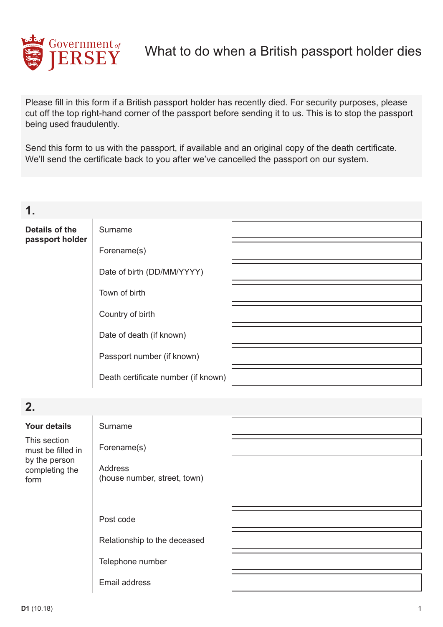

Please fill in this form if a British passport holder has recently died. For security purposes, please cut off the top right-hand corner of the passport before sending it to us. This is to stop the passport being used fraudulently.

Send this form to us with the passport, if available and an original copy of the death certificate. We'll send the certificate back to you after we've cancelled the passport on our system.

**1.**

## **Details of the passport holder**

Forename(s)

Surname

Date of birth (DD/MM/YYYY)

Town of birth

Country of birth

Date of death (if known)

Passport number (if known)

Death certifcate number (if known)

## **2.**

| <b>Your details</b>                                                          | Surname                                 |  |
|------------------------------------------------------------------------------|-----------------------------------------|--|
| This section<br>must be filled in<br>by the person<br>completing the<br>form | Forename(s)                             |  |
|                                                                              | Address<br>(house number, street, town) |  |
|                                                                              | Post code                               |  |
|                                                                              | Relationship to the deceased            |  |
|                                                                              | Telephone number                        |  |
|                                                                              | Email address                           |  |